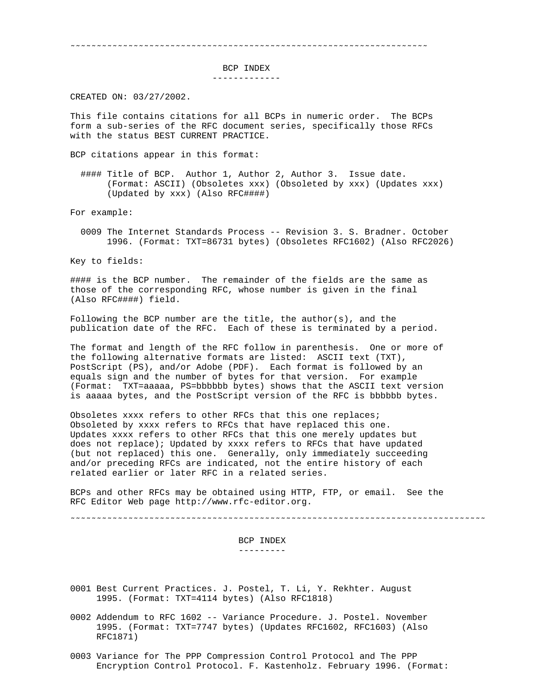˜˜˜˜˜˜˜˜˜˜˜˜˜˜˜˜˜˜˜˜˜˜˜˜˜˜˜˜˜˜˜˜˜˜˜˜˜˜˜˜˜˜˜˜˜˜˜˜˜˜˜˜˜˜˜˜˜˜˜˜˜˜˜˜˜˜˜˜

BCP INDEX

-------------

CREATED ON: 03/27/2002.

This file contains citations for all BCPs in numeric order. The BCPs form a sub-series of the RFC document series, specifically those RFCs with the status BEST CURRENT PRACTICE.

BCP citations appear in this format:

 #### Title of BCP. Author 1, Author 2, Author 3. Issue date. (Format: ASCII) (Obsoletes xxx) (Obsoleted by xxx) (Updates xxx) (Updated by xxx) (Also RFC####)

For example:

 0009 The Internet Standards Process -- Revision 3. S. Bradner. October 1996. (Format: TXT=86731 bytes) (Obsoletes RFC1602) (Also RFC2026)

Key to fields:

#### is the BCP number. The remainder of the fields are the same as those of the corresponding RFC, whose number is given in the final (Also RFC####) field.

Following the BCP number are the title, the  $author(s)$ , and the publication date of the RFC. Each of these is terminated by a period.

The format and length of the RFC follow in parenthesis. One or more of the following alternative formats are listed: ASCII text (TXT), PostScript (PS), and/or Adobe (PDF). Each format is followed by an equals sign and the number of bytes for that version. For example (Format: TXT=aaaaa, PS=bbbbbb bytes) shows that the ASCII text version is aaaaa bytes, and the PostScript version of the RFC is bbbbbb bytes.

Obsoletes xxxx refers to other RFCs that this one replaces; Obsoleted by xxxx refers to RFCs that have replaced this one. Updates xxxx refers to other RFCs that this one merely updates but does not replace); Updated by xxxx refers to RFCs that have updated (but not replaced) this one. Generally, only immediately succeeding and/or preceding RFCs are indicated, not the entire history of each related earlier or later RFC in a related series.

BCPs and other RFCs may be obtained using HTTP, FTP, or email. See the RFC Editor Web page http://www.rfc-editor.org.

˜˜˜˜˜˜˜˜˜˜˜˜˜˜˜˜˜˜˜˜˜˜˜˜˜˜˜˜˜˜˜˜˜˜˜˜˜˜˜˜˜˜˜˜˜˜˜˜˜˜˜˜˜˜˜˜˜˜˜˜˜˜˜˜˜˜˜˜˜˜˜˜˜˜˜˜˜˜˜

 BCP INDEX ---------

- 0001 Best Current Practices. J. Postel, T. Li, Y. Rekhter. August 1995. (Format: TXT=4114 bytes) (Also RFC1818)
- 0002 Addendum to RFC 1602 -- Variance Procedure. J. Postel. November 1995. (Format: TXT=7747 bytes) (Updates RFC1602, RFC1603) (Also RFC1871)
- 0003 Variance for The PPP Compression Control Protocol and The PPP Encryption Control Protocol. F. Kastenholz. February 1996. (Format: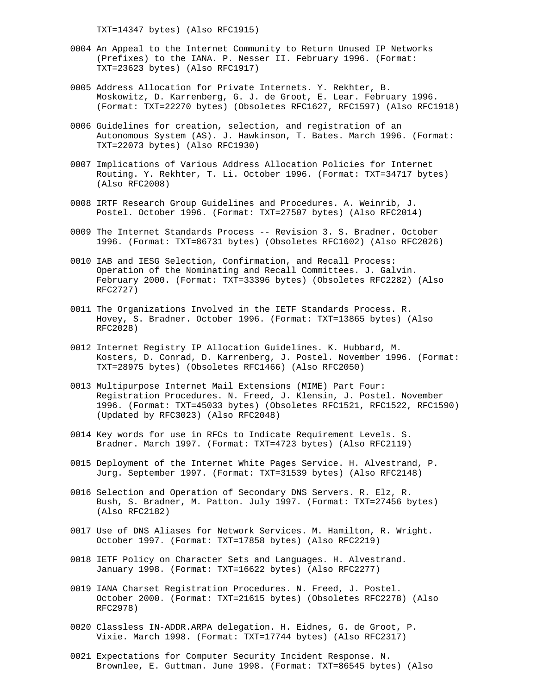TXT=14347 bytes) (Also RFC1915)

- 0004 An Appeal to the Internet Community to Return Unused IP Networks (Prefixes) to the IANA. P. Nesser II. February 1996. (Format: TXT=23623 bytes) (Also RFC1917)
- 0005 Address Allocation for Private Internets. Y. Rekhter, B. Moskowitz, D. Karrenberg, G. J. de Groot, E. Lear. February 1996. (Format: TXT=22270 bytes) (Obsoletes RFC1627, RFC1597) (Also RFC1918)
- 0006 Guidelines for creation, selection, and registration of an Autonomous System (AS). J. Hawkinson, T. Bates. March 1996. (Format: TXT=22073 bytes) (Also RFC1930)
- 0007 Implications of Various Address Allocation Policies for Internet Routing. Y. Rekhter, T. Li. October 1996. (Format: TXT=34717 bytes) (Also RFC2008)
- 0008 IRTF Research Group Guidelines and Procedures. A. Weinrib, J. Postel. October 1996. (Format: TXT=27507 bytes) (Also RFC2014)
- 0009 The Internet Standards Process -- Revision 3. S. Bradner. October 1996. (Format: TXT=86731 bytes) (Obsoletes RFC1602) (Also RFC2026)
- 0010 IAB and IESG Selection, Confirmation, and Recall Process: Operation of the Nominating and Recall Committees. J. Galvin. February 2000. (Format: TXT=33396 bytes) (Obsoletes RFC2282) (Also RFC2727)
- 0011 The Organizations Involved in the IETF Standards Process. R. Hovey, S. Bradner. October 1996. (Format: TXT=13865 bytes) (Also RFC2028)
- 0012 Internet Registry IP Allocation Guidelines. K. Hubbard, M. Kosters, D. Conrad, D. Karrenberg, J. Postel. November 1996. (Format: TXT=28975 bytes) (Obsoletes RFC1466) (Also RFC2050)
- 0013 Multipurpose Internet Mail Extensions (MIME) Part Four: Registration Procedures. N. Freed, J. Klensin, J. Postel. November 1996. (Format: TXT=45033 bytes) (Obsoletes RFC1521, RFC1522, RFC1590) (Updated by RFC3023) (Also RFC2048)
- 0014 Key words for use in RFCs to Indicate Requirement Levels. S. Bradner. March 1997. (Format: TXT=4723 bytes) (Also RFC2119)
- 0015 Deployment of the Internet White Pages Service. H. Alvestrand, P. Jurg. September 1997. (Format: TXT=31539 bytes) (Also RFC2148)
- 0016 Selection and Operation of Secondary DNS Servers. R. Elz, R. Bush, S. Bradner, M. Patton. July 1997. (Format: TXT=27456 bytes) (Also RFC2182)
- 0017 Use of DNS Aliases for Network Services. M. Hamilton, R. Wright. October 1997. (Format: TXT=17858 bytes) (Also RFC2219)
- 0018 IETF Policy on Character Sets and Languages. H. Alvestrand. January 1998. (Format: TXT=16622 bytes) (Also RFC2277)
- 0019 IANA Charset Registration Procedures. N. Freed, J. Postel. October 2000. (Format: TXT=21615 bytes) (Obsoletes RFC2278) (Also RFC2978)
- 0020 Classless IN-ADDR.ARPA delegation. H. Eidnes, G. de Groot, P. Vixie. March 1998. (Format: TXT=17744 bytes) (Also RFC2317)
- 0021 Expectations for Computer Security Incident Response. N. Brownlee, E. Guttman. June 1998. (Format: TXT=86545 bytes) (Also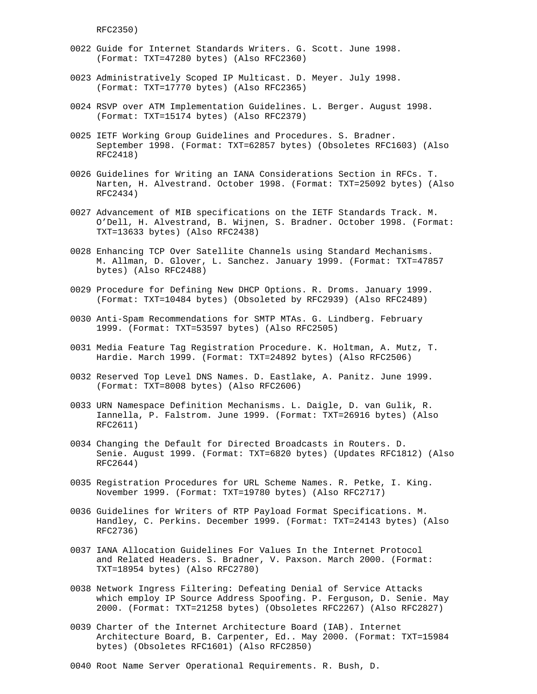RFC2350)

- 0022 Guide for Internet Standards Writers. G. Scott. June 1998. (Format: TXT=47280 bytes) (Also RFC2360)
- 0023 Administratively Scoped IP Multicast. D. Meyer. July 1998. (Format: TXT=17770 bytes) (Also RFC2365)
- 0024 RSVP over ATM Implementation Guidelines. L. Berger. August 1998. (Format: TXT=15174 bytes) (Also RFC2379)
- 0025 IETF Working Group Guidelines and Procedures. S. Bradner. September 1998. (Format: TXT=62857 bytes) (Obsoletes RFC1603) (Also RFC2418)
- 0026 Guidelines for Writing an IANA Considerations Section in RFCs. T. Narten, H. Alvestrand. October 1998. (Format: TXT=25092 bytes) (Also RFC2434)
- 0027 Advancement of MIB specifications on the IETF Standards Track. M. O'Dell, H. Alvestrand, B. Wijnen, S. Bradner. October 1998. (Format: TXT=13633 bytes) (Also RFC2438)
- 0028 Enhancing TCP Over Satellite Channels using Standard Mechanisms. M. Allman, D. Glover, L. Sanchez. January 1999. (Format: TXT=47857 bytes) (Also RFC2488)
- 0029 Procedure for Defining New DHCP Options. R. Droms. January 1999. (Format: TXT=10484 bytes) (Obsoleted by RFC2939) (Also RFC2489)
- 0030 Anti-Spam Recommendations for SMTP MTAs. G. Lindberg. February 1999. (Format: TXT=53597 bytes) (Also RFC2505)
- 0031 Media Feature Tag Registration Procedure. K. Holtman, A. Mutz, T. Hardie. March 1999. (Format: TXT=24892 bytes) (Also RFC2506)
- 0032 Reserved Top Level DNS Names. D. Eastlake, A. Panitz. June 1999. (Format: TXT=8008 bytes) (Also RFC2606)
- 0033 URN Namespace Definition Mechanisms. L. Daigle, D. van Gulik, R. Iannella, P. Falstrom. June 1999. (Format: TXT=26916 bytes) (Also RFC2611)
- 0034 Changing the Default for Directed Broadcasts in Routers. D. Senie. August 1999. (Format: TXT=6820 bytes) (Updates RFC1812) (Also RFC2644)
- 0035 Registration Procedures for URL Scheme Names. R. Petke, I. King. November 1999. (Format: TXT=19780 bytes) (Also RFC2717)
- 0036 Guidelines for Writers of RTP Payload Format Specifications. M. Handley, C. Perkins. December 1999. (Format: TXT=24143 bytes) (Also RFC2736)
- 0037 IANA Allocation Guidelines For Values In the Internet Protocol and Related Headers. S. Bradner, V. Paxson. March 2000. (Format: TXT=18954 bytes) (Also RFC2780)
- 0038 Network Ingress Filtering: Defeating Denial of Service Attacks which employ IP Source Address Spoofing. P. Ferguson, D. Senie. May 2000. (Format: TXT=21258 bytes) (Obsoletes RFC2267) (Also RFC2827)
- 0039 Charter of the Internet Architecture Board (IAB). Internet Architecture Board, B. Carpenter, Ed.. May 2000. (Format: TXT=15984 bytes) (Obsoletes RFC1601) (Also RFC2850)

0040 Root Name Server Operational Requirements. R. Bush, D.